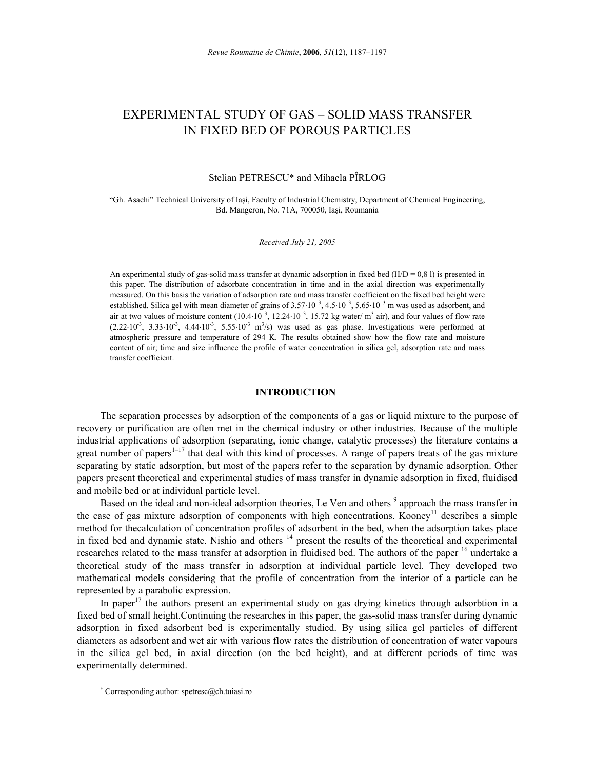# EXPERIMENTAL STUDY OF GAS – SOLID MASS TRANSFER IN FIXED BED OF POROUS PARTICLES

Stelian PETRESCU\* and Mihaela PÎRLOG

"Gh. Asachi" Technical University of Iaşi, Faculty of Industrial Chemistry, Department of Chemical Engineering, Bd. Mangeron, No. 71A, 700050, Iaşi, Roumania

*Received July 21, 2005* 

An experimental study of gas-solid mass transfer at dynamic adsorption in fixed bed  $(H/D = 0.8 1)$  is presented in this paper. The distribution of adsorbate concentration in time and in the axial direction was experimentally measured. On this basis the variation of adsorption rate and mass transfer coefficient on the fixed bed height were established. Silica gel with mean diameter of grains of  $3.57 \cdot 10^{-3}$ ,  $4.5 \cdot 10^{-3}$ ,  $5.65 \cdot 10^{-3}$  m was used as adsorbent, and air at two values of moisture content  $(10.4 \cdot 10^{-3}, 12.24 \cdot 10^{-3}, 15.72 \text{ kg water/m}^3 \text{ air})$ , and four values of flow rate  $(2.22 \cdot 10^{-3}, 3.33 \cdot 10^{-3}, 4.44 \cdot 10^{-3}, 5.55 \cdot 10^{-3} \text{ m}^3/\text{s})$  was used as gas phase. Investigations were performed at atmospheric pressure and temperature of 294 K. The results obtained show how the flow rate and moisture content of air; time and size influence the profile of water concentration in silica gel, adsorption rate and mass transfer coefficient.

# **INTRODUCTION**<sup>∗</sup>

The separation processes by adsorption of the components of a gas or liquid mixture to the purpose of recovery or purification are often met in the chemical industry or other industries. Because of the multiple industrial applications of adsorption (separating, ionic change, catalytic processes) the literature contains a great number of papers<sup>1–17</sup> that deal with this kind of processes. A range of papers treats of the gas mixture separating by static adsorption, but most of the papers refer to the separation by dynamic adsorption. Other papers present theoretical and experimental studies of mass transfer in dynamic adsorption in fixed, fluidised and mobile bed or at individual particle level.

Based on the ideal and non-ideal adsorption theories, Le Ven and others <sup>9</sup> approach the mass transfer in the case of gas mixture adsorption of components with high concentrations. Kooney<sup>11</sup> describes a simple method for thecalculation of concentration profiles of adsorbent in the bed, when the adsorption takes place in fixed bed and dynamic state. Nishio and others <sup>14</sup> present the results of the theoretical and experimental researches related to the mass transfer at adsorption in fluidised bed. The authors of the paper <sup>16</sup> undertake a theoretical study of the mass transfer in adsorption at individual particle level. They developed two mathematical models considering that the profile of concentration from the interior of a particle can be represented by a parabolic expression.

In paper<sup>17</sup> the authors present an experimental study on gas drying kinetics through adsorbtion in a fixed bed of small height.Continuing the researches in this paper, the gas-solid mass transfer during dynamic adsorption in fixed adsorbent bed is experimentally studied. By using silica gel particles of different diameters as adsorbent and wet air with various flow rates the distribution of concentration of water vapours in the silica gel bed, in axial direction (on the bed height), and at different periods of time was experimentally determined.

 $\overline{a}$ 

<sup>∗</sup> Corresponding author: spetresc@ch.tuiasi.ro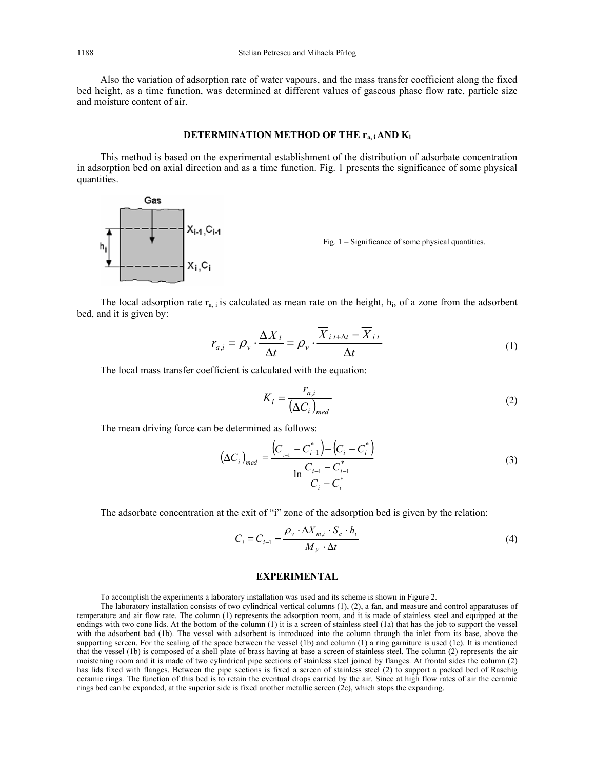Also the variation of adsorption rate of water vapours, and the mass transfer coefficient along the fixed bed height, as a time function, was determined at different values of gaseous phase flow rate, particle size and moisture content of air.

# **DETERMINATION METHOD OF THE ra, i AND Ki**

This method is based on the experimental establishment of the distribution of adsorbate concentration in adsorption bed on axial direction and as a time function. Fig. 1 presents the significance of some physical quantities.



Fig. 1 – Significance of some physical quantities.

The local adsorption rate  $r_{a,i}$  is calculated as mean rate on the height,  $h_i$ , of a zone from the adsorbent bed, and it is given by:

$$
r_{a,i} = \rho_v \cdot \frac{\Delta \overline{X}_i}{\Delta t} = \rho_v \cdot \frac{\overline{X}_i|_{t+\Delta t} - \overline{X}_i|_{t}}{\Delta t}
$$
(1)

The local mass transfer coefficient is calculated with the equation:

$$
K_i = \frac{r_{a,i}}{(\Delta C_i)_{med}}
$$
 (2)

The mean driving force can be determined as follows:

$$
\left(\Delta C_i\right)_{med} = \frac{\left(C_{i-1} - C_{i-1}^*\right) - \left(C_i - C_i^*\right)}{\ln \frac{C_{i-1} - C_{i-1}^*}{C_i - C_i^*}}
$$
\n(3)

The adsorbate concentration at the exit of "i" zone of the adsorption bed is given by the relation:

$$
C_i = C_{i-1} - \frac{\rho_v \cdot \Delta X_{m,i} \cdot S_c \cdot h_i}{M_V \cdot \Delta t}
$$
 (4)

# **EXPERIMENTAL**

To accomplish the experiments a laboratory installation was used and its scheme is shown in Figure 2.

The laboratory installation consists of two cylindrical vertical columns (1), (2), a fan, and measure and control apparatuses of temperature and air flow rate. The column (1) represents the adsorption room, and it is made of stainless steel and equipped at the endings with two cone lids. At the bottom of the column (1) it is a screen of stainless steel (1a) that has the job to support the vessel with the adsorbent bed (1b). The vessel with adsorbent is introduced into the column through the inlet from its base, above the supporting screen. For the sealing of the space between the vessel (1b) and column (1) a ring garniture is used (1c). It is mentioned that the vessel (1b) is composed of a shell plate of brass having at base a screen of stainless steel. The column (2) represents the air moistening room and it is made of two cylindrical pipe sections of stainless steel joined by flanges. At frontal sides the column (2) has lids fixed with flanges. Between the pipe sections is fixed a screen of stainless steel (2) to support a packed bed of Raschig ceramic rings. The function of this bed is to retain the eventual drops carried by the air. Since at high flow rates of air the ceramic rings bed can be expanded, at the superior side is fixed another metallic screen (2c), which stops the expanding.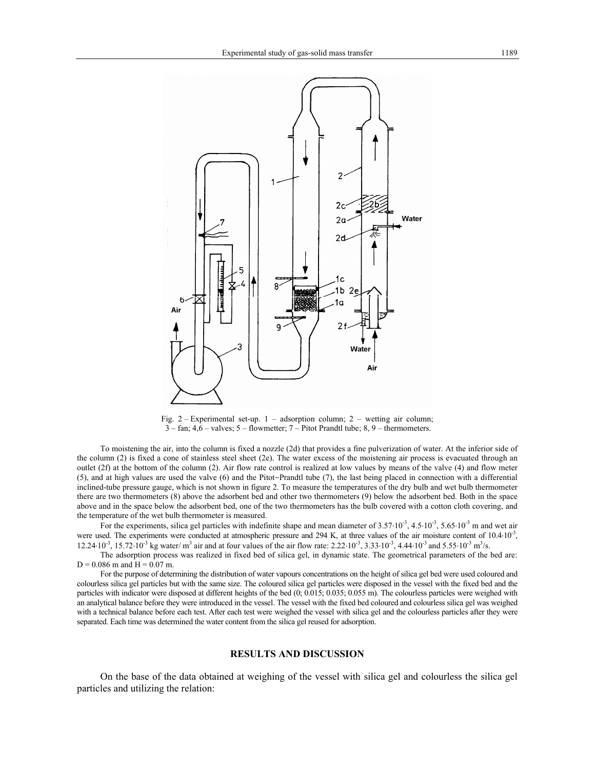

Fig. 2 – Experimental set-up. 1 – adsorption column; 2 – wetting air column; 3 – fan; 4,6 – valves; 5 – flowmetter; 7 – Pitot Prandtl tube; 8, 9 – thermometers.

To moistening the air, into the column is fixed a nozzle (2d) that provides a fine pulverization of water. At the inferior side of the column (2) is fixed a cone of stainless steel sheet (2e). The water excess of the moistening air process is evacuated through an outlet (2f) at the bottom of the column (2). Air flow rate control is realized at low values by means of the valve (4) and flow meter (5), and at high values are used the valve (6) and the Pitot−Prandtl tube (7), the last being placed in connection with a differential inclined-tube pressure gauge, which is not shown in figure 2. To measure the temperatures of the dry bulb and wet bulb thermometer there are two thermometers (8) above the adsorbent bed and other two thermometers (9) below the adsorbent bed. Both in the space above and in the space below the adsorbent bed, one of the two thermometers has the bulb covered with a cotton cloth covering, and the temperature of the wet bulb thermometer is measured.

For the experiments, silica gel particles with indefinite shape and mean diameter of 3.57⋅10<sup>-3</sup>, 4.5⋅10<sup>-3</sup>, 5.65⋅10<sup>-3</sup> m and wet air were used. The experiments were conducted at atmospheric pressure and 294 K, at three values of the air moisture content of  $10.4\cdot10^{-3}$ ,  $12.24 \cdot 10^{-3}$ ,  $15.72 \cdot 10^{-3}$  kg water/ m<sup>3</sup> air and at four values of the air flow rate:  $2.22 \cdot 10^{-3}$ ,  $3.33 \cdot 10^{-3}$ ,  $4.44 \cdot 10^{-3}$  and  $5.55 \cdot 10^{-3}$  m<sup>3</sup>/s.

The adsorption process was realized in fixed bed of silica gel, in dynamic state. The geometrical parameters of the bed are:  $D = 0.086$  m and  $H = 0.07$  m.

For the purpose of determining the distribution of water vapours concentrations on the height of silica gel bed were used coloured and colourless silica gel particles but with the same size. The coloured silica gel particles were disposed in the vessel with the fixed bed and the particles with indicator were disposed at different heights of the bed (0; 0.015; 0.035; 0.055 m). The colourless particles were weighed with an analytical balance before they were introduced in the vessel. The vessel with the fixed bed coloured and colourless silica gel was weighed with a technical balance before each test. After each test were weighed the vessel with silica gel and the colourless particles after they were separated. Each time was determined the water content from the silica gel reused for adsorption.

#### **RESULTS AND DISCUSSION**

On the base of the data obtained at weighing of the vessel with silica gel and colourless the silica gel particles and utilizing the relation: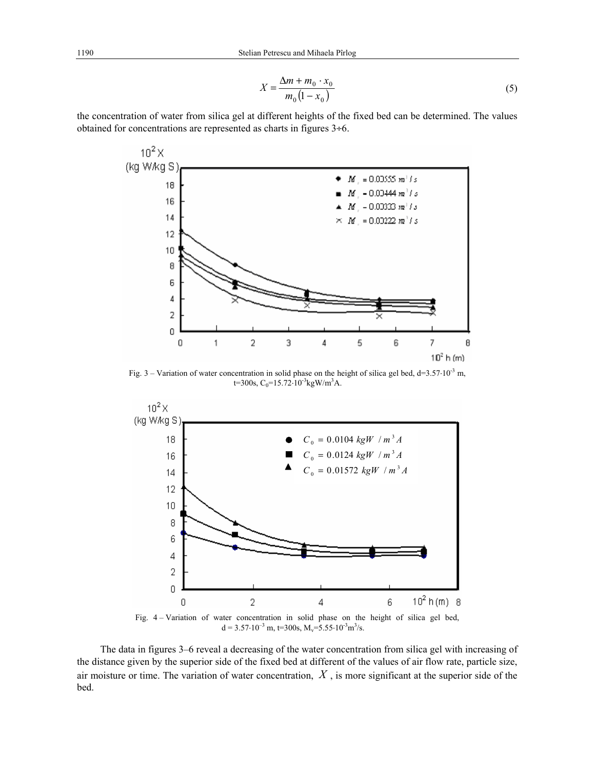$$
X = \frac{\Delta m + m_0 \cdot x_0}{m_0 (1 - x_0)}
$$
 (5)

the concentration of water from silica gel at different heights of the fixed bed can be determined. The values obtained for concentrations are represented as charts in figures 3÷6.



Fig. 3 – Variation of water concentration in solid phase on the height of silica gel bed, d=3.57⋅10-3 m, t=300s,  $C_0$ =15.72⋅10<sup>-3</sup>kgW/m<sup>3</sup>A.



 $d = 3.57 \cdot 10^{-3}$  m, t=300s, M<sub>v</sub>=5.55 $\cdot 10^{-3}$ m<sup>3</sup>/s.

The data in figures 3–6 reveal a decreasing of the water concentration from silica gel with increasing of the distance given by the superior side of the fixed bed at different of the values of air flow rate, particle size, air moisture or time. The variation of water concentration, *X* , is more significant at the superior side of the bed.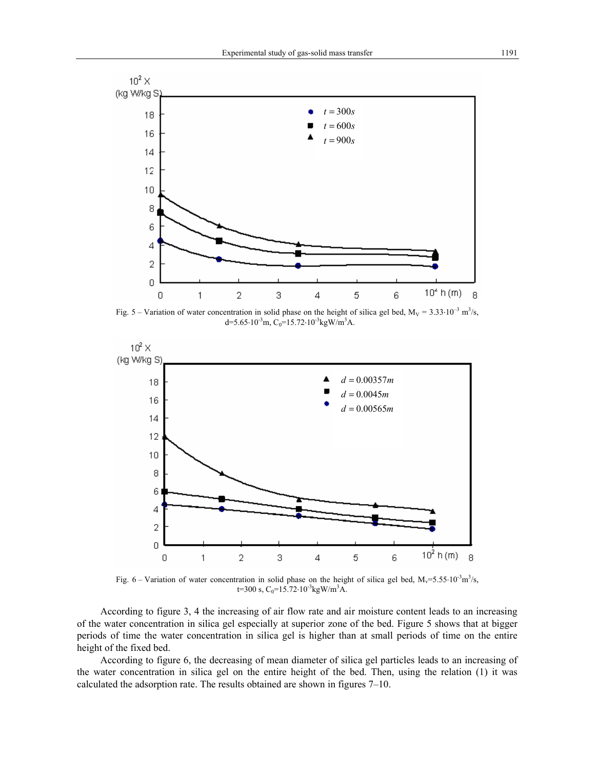

Fig. 5 – Variation of water concentration in solid phase on the height of silica gel bed,  $M_V = 3.33 \cdot 10^{-3}$  m<sup>3</sup>/s, d=5.65⋅10<sup>-3</sup>m, C<sub>0</sub>=15.72⋅10<sup>-3</sup>kgW/m<sup>3</sup>A.



Fig. 6 – Variation of water concentration in solid phase on the height of silica gel bed,  $M_v = 5.55 \cdot 10^{-3}$ m<sup>3</sup>/s, t=300 s,  $C_0$ =15.72⋅10<sup>-3</sup>kgW/m<sup>3</sup>A.

According to figure 3, 4 the increasing of air flow rate and air moisture content leads to an increasing of the water concentration in silica gel especially at superior zone of the bed. Figure 5 shows that at bigger periods of time the water concentration in silica gel is higher than at small periods of time on the entire height of the fixed bed.

According to figure 6, the decreasing of mean diameter of silica gel particles leads to an increasing of the water concentration in silica gel on the entire height of the bed. Then, using the relation (1) it was calculated the adsorption rate. The results obtained are shown in figures 7–10.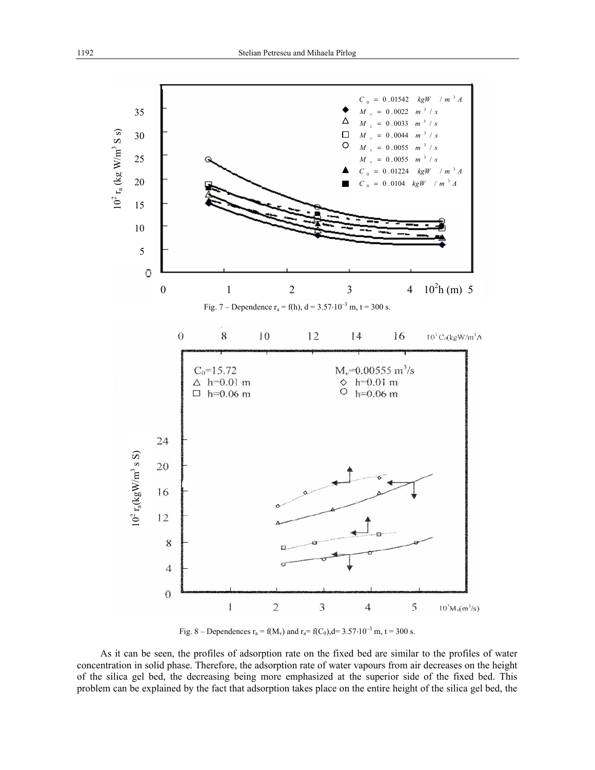

Fig. 8 – Dependences  $r_a = f(M_v)$  and  $r_a = f(C_0)$ , d= 3.57⋅10<sup>-3</sup> m, t = 300 s.

As it can be seen, the profiles of adsorption rate on the fixed bed are similar to the profiles of water concentration in solid phase. Therefore, the adsorption rate of water vapours from air decreases on the height of the silica gel bed, the decreasing being more emphasized at the superior side of the fixed bed. This problem can be explained by the fact that adsorption takes place on the entire height of the silica gel bed, the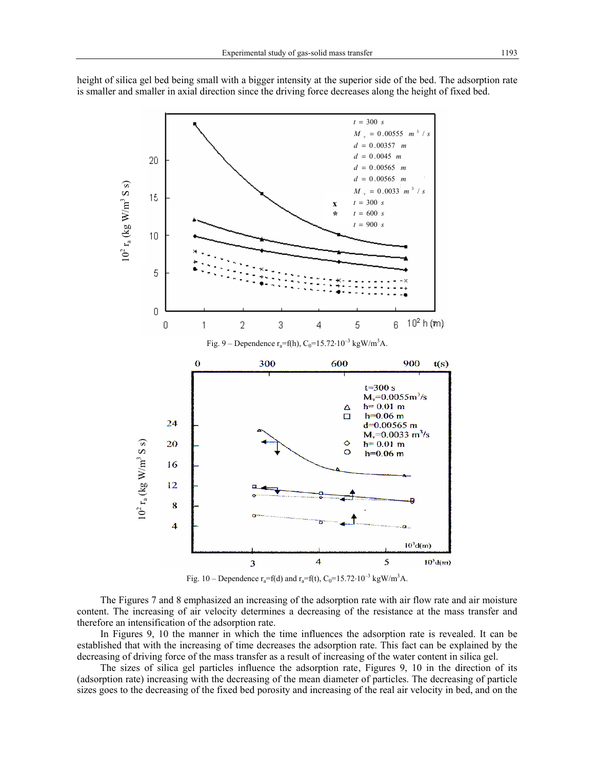

height of silica gel bed being small with a bigger intensity at the superior side of the bed. The adsorption rate is smaller and smaller in axial direction since the driving force decreases along the height of fixed bed.

Fig. 10 – Dependence  $r_a = f(d)$  and  $r_a = f(t)$ ,  $C_0 = 15.72 \cdot 10^{-3}$  kgW/m<sup>3</sup>A.

The Figures 7 and 8 emphasized an increasing of the adsorption rate with air flow rate and air moisture content. The increasing of air velocity determines a decreasing of the resistance at the mass transfer and therefore an intensification of the adsorption rate.

In Figures 9, 10 the manner in which the time influences the adsorption rate is revealed. It can be established that with the increasing of time decreases the adsorption rate. This fact can be explained by the decreasing of driving force of the mass transfer as a result of increasing of the water content in silica gel.

The sizes of silica gel particles influence the adsorption rate, Figures 9, 10 in the direction of its (adsorption rate) increasing with the decreasing of the mean diameter of particles. The decreasing of particle sizes goes to the decreasing of the fixed bed porosity and increasing of the real air velocity in bed, and on the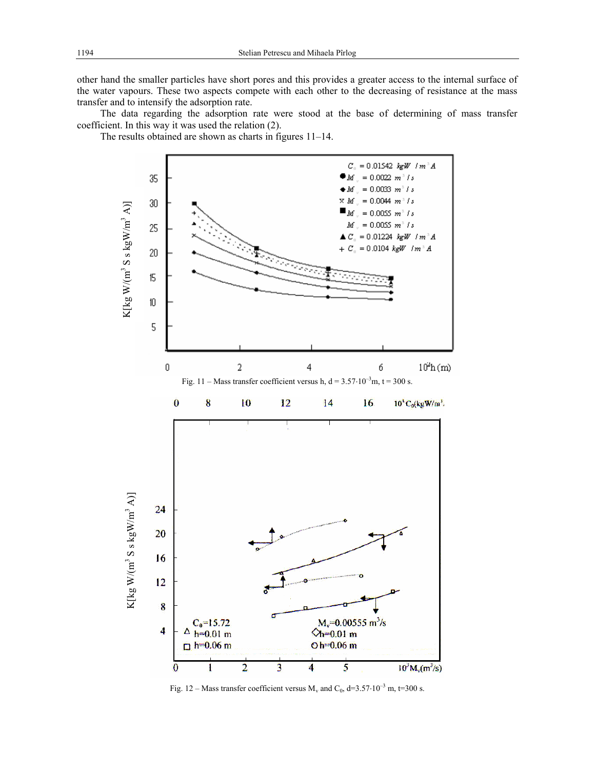other hand the smaller particles have short pores and this provides a greater access to the internal surface of the water vapours. These two aspects compete with each other to the decreasing of resistance at the mass transfer and to intensify the adsorption rate.

The data regarding the adsorption rate were stood at the base of determining of mass transfer coefficient. In this way it was used the relation (2).

The results obtained are shown as charts in figures 11–14.



Fig. 12 – Mass transfer coefficient versus  $M_v$  and  $C_0$ , d=3.57⋅10<sup>-3</sup> m, t=300 s.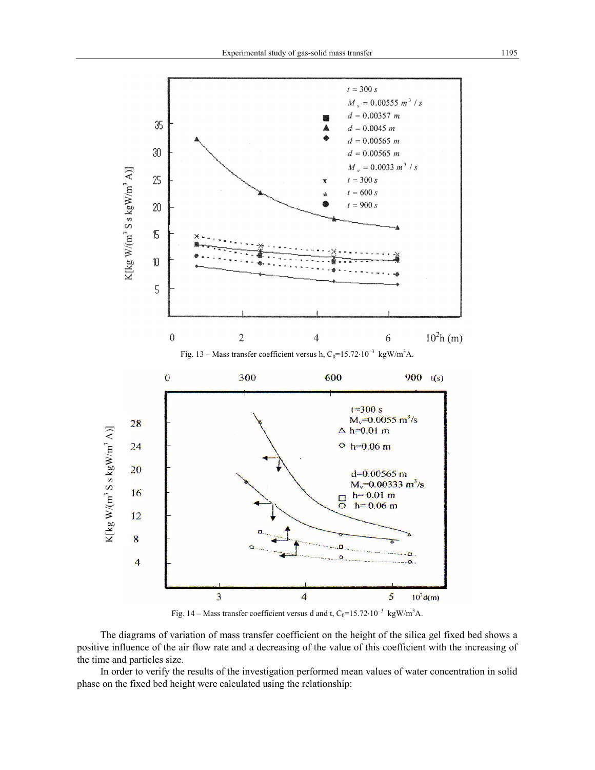

Fig. 14 – Mass transfer coefficient versus d and t,  $C_0$ =15.72⋅10<sup>-3</sup> kgW/m<sup>3</sup>A.

The diagrams of variation of mass transfer coefficient on the height of the silica gel fixed bed shows a positive influence of the air flow rate and a decreasing of the value of this coefficient with the increasing of the time and particles size.

In order to verify the results of the investigation performed mean values of water concentration in solid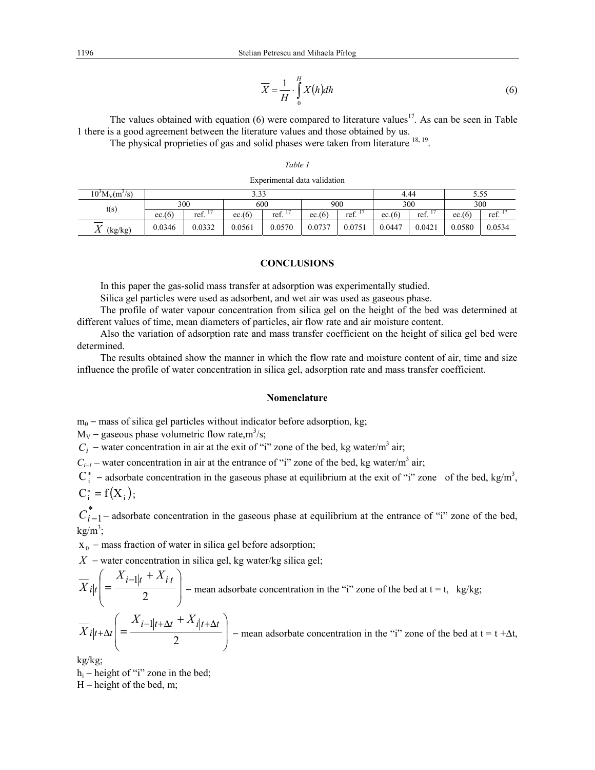$$
\overline{X} = \frac{1}{H} \cdot \int_{0}^{H} X(h) dh
$$
\n(6)

The values obtained with equation  $(6)$  were compared to literature values<sup>17</sup>. As can be seen in Table 1 there is a good agreement between the literature values and those obtained by us.

The physical proprieties of gas and solid phases were taken from literature 18, 19.

# *Table 1*

| $10^3 M_V(m^3/s)$                | 3.33   |        |        |        |        |        | 4.44   |        | 5.55   |        |
|----------------------------------|--------|--------|--------|--------|--------|--------|--------|--------|--------|--------|
| t(s)                             | 300    |        | 600    |        | 900    |        | 300    |        | 300    |        |
|                                  | ec.(6) | ref.   | ec.(6) | ref.   | ec.(6) | ref.   | ec.(6) | ref.   | ec.(6) | ref.   |
| <b>T</b><br>(kg/kg)<br>$\Lambda$ | 0.0346 | 0.0332 | 0.0561 | 0.0570 | 0.0737 | 0.0751 | 0.0447 | 0.0421 | 0.0580 | 0.0534 |

# **CONCLUSIONS**

In this paper the gas-solid mass transfer at adsorption was experimentally studied.

Silica gel particles were used as adsorbent, and wet air was used as gaseous phase.

The profile of water vapour concentration from silica gel on the height of the bed was determined at different values of time, mean diameters of particles, air flow rate and air moisture content.

Also the variation of adsorption rate and mass transfer coefficient on the height of silica gel bed were determined.

The results obtained show the manner in which the flow rate and moisture content of air, time and size influence the profile of water concentration in silica gel, adsorption rate and mass transfer coefficient.

#### **Nomenclature**

 $m_0$  – mass of silica gel particles without indicator before adsorption, kg;

 $M_V$  – gaseous phase volumetric flow rate, m<sup>3</sup>/s;

 $C_i$  − water concentration in air at the exit of "i" zone of the bed, kg water/m<sup>3</sup> air;

 $C_{i-1}$  – water concentration in air at the entrance of "i" zone of the bed, kg water/m<sup>3</sup> air;

 $C_i^*$  – adsorbate concentration in the gaseous phase at equilibrium at the exit of "i" zone of the bed, kg/m<sup>3</sup>,  $C_i^* = f(X_i);$ 

 $C_{i-1}^*$ – adsorbate concentration in the gaseous phase at equilibrium at the entrance of "i" zone of the bed,  $kg/m^3$ ;

 $x_0$  – mass fraction of water in silica gel before adsorption;

*X* − water concentration in silica gel, kg water/kg silica gel;

$$
\overline{X}_{i|t}\left( = \frac{X_{i-1|t} + X_{i|t}}{2} \right) - \text{mean adsorbate concentration in the "i" zone of the bed at t = t, kg/kg;}
$$
\n
$$
\overline{X}_{i|t+\Delta t}\left( = \frac{X_{i-1|t+\Delta t} + X_{i|t+\Delta t}}{2} \right) - \text{mean adsorbate concentration in the "i" zone of the bed at t = t + \Delta t,}
$$

kg/kg;

hi − height of "i" zone in the bed; H – height of the bed, m;